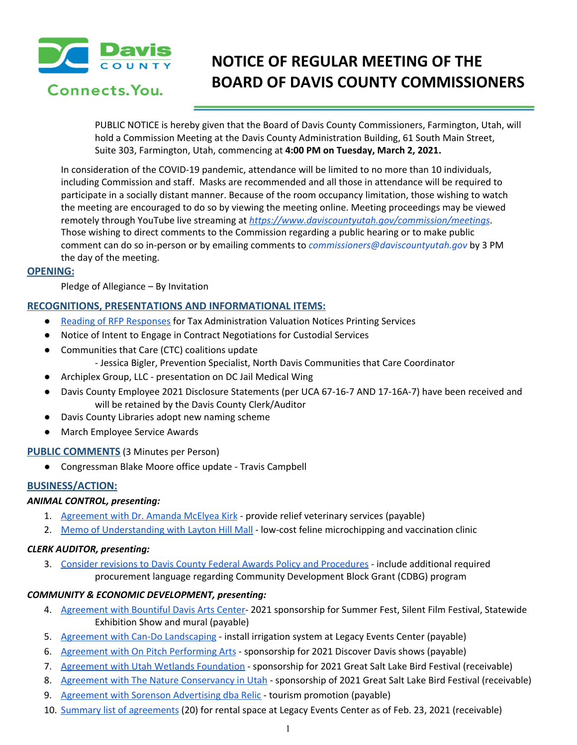

Connects. You.

# **NOTICE OF REGULAR MEETING OF THE BOARD OF DAVIS COUNTY COMMISSIONERS**

PUBLIC NOTICE is hereby given that the Board of Davis County Commissioners, Farmington, Utah, will hold a Commission Meeting at the Davis County Administration Building, 61 South Main Street, Suite 303, Farmington, Utah, commencing at **4:00 PM on Tuesday, March 2, 2021.**

In consideration of the COVID-19 pandemic, attendance will be limited to no more than 10 individuals, including Commission and staff. Masks are recommended and all those in attendance will be required to participate in a socially distant manner. Because of the room occupancy limitation, those wishing to watch the meeting are encouraged to do so by viewing the meeting online. Meeting proceedings may be viewed remotely through YouTube live streaming at *<https://www.daviscountyutah.gov/commission/meetings>*. Those wishing to direct comments to the Commission regarding a public hearing or to make public comment can do so in-person or by emailing comments to *commissioners@daviscountyutah.gov* by 3 PM the day of the meeting.

## **OPENING:**

Pledge of Allegiance – By Invitation

# **RECOGNITIONS, PRESENTATIONS AND INFORMATIONAL ITEMS:**

- Reading of RFP [Responses](https://drive.google.com/file/d/1tA4DBW_5FA_WZdHtCkDst3AaykbLC2y_/view?usp=drivesdk) for Tax Administration Valuation Notices Printing Services
- Notice of Intent to Engage in Contract Negotiations for Custodial Services
- Communities that Care (CTC) coalitions update - Jessica Bigler, Prevention Specialist, North Davis Communities that Care Coordinator
- Archiplex Group, LLC presentation on DC Jail Medical Wing
- Davis County Employee 2021 Disclosure Statements (per UCA 67-16-7 AND 17-16A-7) have been received and will be retained by the Davis County Clerk/Auditor
- Davis County Libraries adopt new naming scheme
- March Employee Service Awards

## **PUBLIC COMMENTS** (3 Minutes per Person)

● Congressman Blake Moore office update - Travis Campbell

# **BUSINESS/ACTION:**

## *ANIMAL CONTROL, presenting:*

- 1. [Agreement](https://drive.google.com/file/d/1lNi_ByL_uVjau0uKbFIY6m9d6Cj72edO/view?usp=drivesdk) with Dr. Amanda McElyea Kirk provide relief veterinary services (payable)
- 2. Memo of [Understanding](https://drive.google.com/file/d/1G-HoyfA9rw1gtfsl6YqrR5PvwZeqjnsk/view?usp=drivesdk) with Layton Hill Mall low-cost feline microchipping and vaccination clinic

## *CLERK AUDITOR, presenting:*

3. Consider revisions to Davis County Federal Awards Policy and [Procedures](https://drive.google.com/file/d/1iOlz2iHyFxT8pEaDoZCGzCWszEMgWRei/view?usp=drivesdk) - include additional required procurement language regarding Community Development Block Grant (CDBG) program

# *COMMUNITY & ECONOMIC DEVELOPMENT, presenting:*

- 4. [Agreement](https://drive.google.com/file/d/1BULk7X6x3460umgovmy4EJt-P8TrH8yc/view?usp=drivesdk) with Bountiful Davis Arts Center- 2021 sponsorship for Summer Fest, Silent Film Festival, Statewide Exhibition Show and mural (payable)
- 5. Agreement with Can-Do [Landscaping](https://drive.google.com/file/d/1fiLGzJEDLOvRcbSzptrZe4hxWYNHDtGk/view?usp=drivesdk) install irrigation system at Legacy Events Center (payable)
- 6. Agreement with On Pitch [Performing](https://drive.google.com/file/d/1Wftd1eVl2tVh9x_Jsu0nR49LucVpzYfH/view?usp=drivesdk) Arts sponsorship for 2021 Discover Davis shows (payable)
- 7. Agreement with Utah Wetlands [Foundation](https://drive.google.com/file/d/1RPP6KJzbBOXXCXNL_dru5ijVEnqCcj5A/view?usp=drivesdk) sponsorship for 2021 Great Salt Lake Bird Festival (receivable)
- 8. Agreement with The Nature [Conservancy](https://drive.google.com/file/d/1NKL00Jslbb9BhMHAllG3TYJ1-7279bYV/view?usp=drivesdk) in Utah sponsorship of 2021 Great Salt Lake Bird Festival (receivable)
- 9. Agreement with Sorenson [Advertising](https://drive.google.com/file/d/1wx5_tOn7jUQL-qt19E0cBTT2XS_UeS52/view?usp=drivesdk) dba Relic tourism promotion (payable)
- 10. Summary list of [agreements](https://drive.google.com/file/d/19mdiRwGajvE5aPmDEJdBZd_xm8bTqoWM/view?usp=drivesdk) (20) for rental space at Legacy Events Center as of Feb. 23, 2021 (receivable)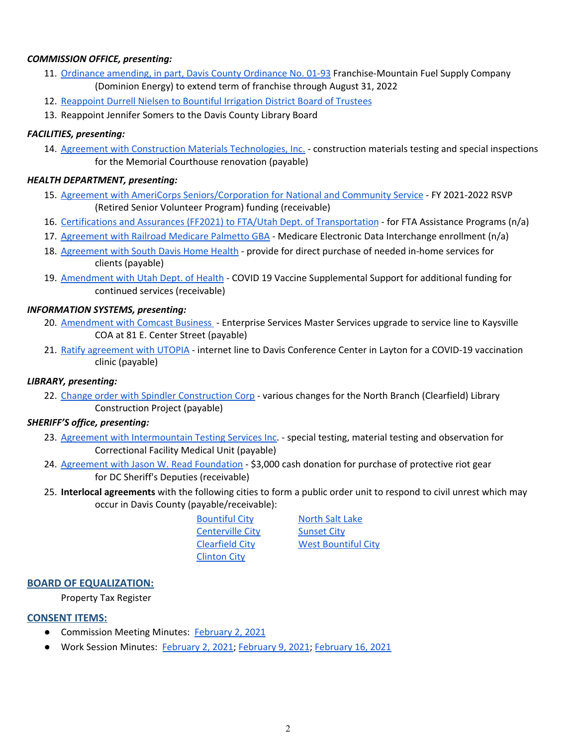## *COMMISSION OFFICE, presenting:*

- 11. Ordinance [amending,](https://drive.google.com/file/d/1KFS2u18ROcsIJScnrHkQVHhlaf5e7-AG/view?usp=drivesdk) in part, Davis County Ordinance No. 01-93 Franchise-Mountain Fuel Supply Company (Dominion Energy) to extend term of franchise through August 31, 2022
- 12. [Reappoint](https://drive.google.com/file/d/1_dPY24Te3vY1deVLIx815ZCs2YzH-sqO/view?usp=drivesdk) Durrell Nielsen to Bountiful Irrigation District Board of Trustees
- 13. Reappoint Jennifer Somers to the Davis County Library Board

#### *FACILITIES, presenting:*

14. Agreement with Construction Materials [Technologies,](https://drive.google.com/file/d/1EMHYcRp4vPsnBWDQsaZ0F3ElQAZapbIH/view?usp=drivesdk) Inc. - construction materials testing and special inspections for the Memorial Courthouse renovation (payable)

#### *HEALTH DEPARTMENT, presenting:*

- 15. Agreement with AmeriCorps [Seniors/Corporation](https://drive.google.com/file/d/1PBqyyMroyBx_p_q8LM4bS5qzvMeRoTPd/view?usp=drivesdk) for National and Community Service FY 2021-2022 RSVP (Retired Senior Volunteer Program) funding (receivable)
- 16. Certifications and Assurances (FF2021) to FTA/Utah Dept. of [Transportation](https://drive.google.com/file/d/10xEHmfm5xRjKkCtml5S8FcFsdzQ6nqHl/view?usp=drivesdk) for FTA Assistance Programs (n/a)
- 17. [Agreement](https://drive.google.com/file/d/1Wui-4z5GmNh4CB2q0FrJyID-EyabGmk3/view?usp=drivesdk) with Railroad Medicare Palmetto GBA Medicare Electronic Data Interchange enrollment (n/a)
- 18. [Agreement](https://drive.google.com/file/d/1y2FnHgqCGteAK8vEUfyAP8DdjkOmGs_Y/view?usp=drivesdk) with South Davis Home Health provide for direct purchase of needed in-home services for clients (payable)
- 19. [Amendment](https://drive.google.com/file/d/1C5t3R9hUNJBDT0_F-3PkMIP9hhCVVbl7/view?usp=drivesdk) with Utah Dept. of Health COVID 19 Vaccine Supplemental Suppo[r](https://drive.google.com/file/d/1C5t3R9hUNJBDT0_F-3PkMIP9hhCVVbl7/view?usp=drivesdk)t for additional funding for continued services (receivable)

## *INFORMATION SYSTEMS, presenting:*

- 20. [Amendment](https://drive.google.com/file/d/12sts01AJB7Q9aJfTNHBV_ME4e2paiKq5/view?usp=drivesdk) with Comcast Business Enterprise Services Master Services upgrade to service line to Kaysville COA at 81 E. Center Street (payable)
- 21. Ratify [agreement](https://drive.google.com/file/d/1ckyK46JZPukRRgysLhWOlB92hwVW4D7e/view?usp=drivesdk) with UTOPIA internet line to Davis Conference Center in Layton for a COVID-19 vaccinatio[n](https://drive.google.com/file/d/1ckyK46JZPukRRgysLhWOlB92hwVW4D7e/view?usp=drivesdk) clinic (payable)

#### *LIBRARY, presenting:*

22. Change order with Spindler [Construction](https://drive.google.com/file/d/1ZVIH4PrS5FcaRdM2DpvW_DxS33CD52B_/view?usp=drivesdk) Corp - various changes for the North Branch (Clearfield) Library Construction Project (payable)

#### *SHERIFF'S office, presenting:*

- 23. Agreement with [Intermountain](https://drive.google.com/file/d/1_FQZDD2lYiuFfL6cJfydaxyen4Wf2_xu/view?usp=drivesdk) Testing Services Inc. special testing, material testing and observation for Correctional Facility Medical Unit (payable)
- 24. Agreement with Jason W. Read [Foundation](https://drive.google.com/file/d/1h3XUUb7Mmvuwb6jmMCDN51A4WkN1Zws3/view?usp=drivesdk) \$3,000 cash donation for purchase of protective riot gear for DC Sheriff's Deputies (receivable)
- 25. **Interlocal agreements** with the following cities to form a public order unit to respond to civil unrest which may occur in Davis County (payable/receivable):

| <b>Bountiful City</b>   |  |
|-------------------------|--|
| <b>Centerville City</b> |  |
| <b>Clearfield City</b>  |  |
| <b>Clinton City</b>     |  |

**[North](https://drive.google.com/file/d/1Qrp9iiDkIAFqa6oogxcsUCqacmZ8v-lv/view?usp=drivesdk) Salt Lake [Sunset](https://drive.google.com/file/d/1ruFw7qOmLPYMquNIYH6Cem5uRj8Yp_2O/view?usp=drivesdk) City West [Bountiful](https://drive.google.com/file/d/1i_UAbBj8gI76pjAYJeY8afZZzL2DSFgp/view?usp=drivesdk) City** 

#### **BOARD OF EQUALIZATION:**

Property Tax Register

#### **CONSENT ITEMS:**

- Commission Meeting Minutes: [February](https://drive.google.com/file/d/1iGQ9lEGz4UpyrPznxJyVLTxtLCNkUS8v/view?usp=drivesdk) 2, 2021
- Work Session Minutes: [February](https://drive.google.com/file/d/1S31a8pL3UIo8cCohTsdHkIRv7LRvOnTA/view?usp=drivesdk) 2, 2021; February 9, 2021; February 16, 2021